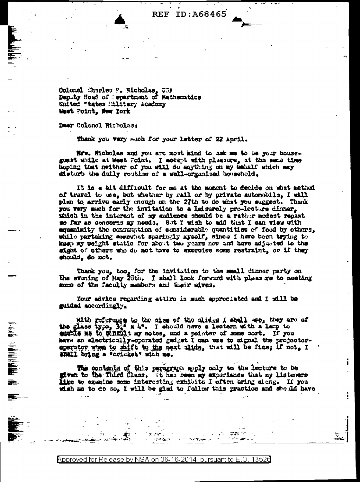Colonel Charles P. Nicholas, USA<br>Deputy Head of Separtment of Mathematics United "tates Military Academy West Point, New York

Dear Colonel Wicholas:

Thank you very much for your letter of 22 April.

Mrs. Hicholas and you are most kind to ask me to be your houseguest while at West Point. I accept with pleasure, at the same time hoping that neither of you will do mything on my behalf which may disturb the daily routine of a well-organized household,

It is a bit difficult for me at the moment to decide on what method of travel to use, but whether by rail or by private automobile, I will plan to arrive early mough on the 27th to do what you suggest. Thank you wery much for the invitation to a leisurely pro-lecture dinner, which in the interest of my audience should be a rather modest repast se far as concerns my needs. Sut I wish to add that I can view with equanisity the consumption of considerable quantities of food by others. while partaking somewhat sparingly aysalf, since I have been trying to keep my weight static for about two years now and have adjusted to the sight of others who do not have to exercise some restraint, or if they should, do not.

Thank you, too, for the invitation to the small dinner party on the evening of Hay 20th. I shall look forward with pleasure to seeting some of the faculty members and their wives.

Your advice regarding attire is much approclated and I will be guided socordingly.

with referance to the size of the alides I shall we, they are of the glass type,  $\frac{1}{2}$  x h<sup>e</sup>. I should have a lectern with a larp to while no to chellt my notes, and a pointer of some sort. If you have an electrically-operated gadget I can use to signal the projectoreperator when to said to the next alide, that will be fine; if not, I shall bring a "cricket" with me.

The contents of this personant apply only to the lecture to be given to the Third Class. It has been my experience that my listeners like to examine some interesting exhibits I often bring along. If you wish me to do so, I will be glad to follow this practice and should have

Approved for Release by NSA on 06-16-2014 pursuant to E.O. 13526